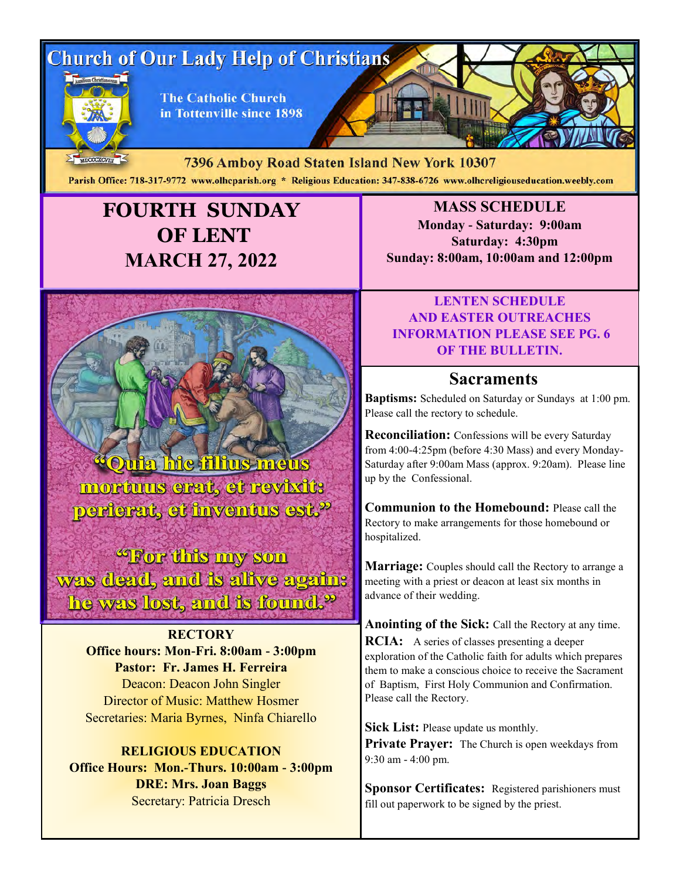# **Church of Our Lady Help of Christians**



**The Catholic Church** in Tottenville since 1898

MDCCCXCVIII 7396 Amboy Road Staten Island New York 10307 Parish Office: 718-317-9772 www.olhcparish.org \* Religious Education: 347-838-6726 www.olhcreligiouseducation.weebly.com

# **FOURTH SUNDAY OF LENT MARCH 27, 2022**



mortuus erat, et revixit: perferat, et inventus est.<sup>2</sup>

"For this my son was dead, and is alive again: he was lost, and is found.<sup>9</sup>

> **RECTORY Office hours: Mon-Fri. 8:00am - 3:00pm Pastor: Fr. James H. Ferreira** Deacon: Deacon John Singler Director of Music: Matthew Hosmer Secretaries: Maria Byrnes, Ninfa Chiarello

**RELIGIOUS EDUCATION Office Hours: Mon.-Thurs. 10:00am - 3:00pm DRE: Mrs. Joan Baggs** Secretary: Patricia Dresch

**MASS SCHEDULE Monday - Saturday: 9:00am Saturday: 4:30pm Sunday: 8:00am, 10:00am and 12:00pm**

#### **LENTEN SCHEDULE AND EASTER OUTREACHES INFORMATION PLEASE SEE PG. 6 OF THE BULLETIN.**

### **Sacraments**

**Baptisms:** Scheduled on Saturday or Sundays at 1:00 pm. Please call the rectory to schedule.

**Reconciliation:** Confessions will be every Saturday from 4:00-4:25pm (before 4:30 Mass) and every Monday-Saturday after 9:00am Mass (approx. 9:20am). Please line up by the Confessional.

**Communion to the Homebound:** Please call the Rectory to make arrangements for those homebound or hospitalized.

**Marriage:** Couples should call the Rectory to arrange a meeting with a priest or deacon at least six months in advance of their wedding.

**Anointing of the Sick:** Call the Rectory at any time. **RCIA:** A series of classes presenting a deeper exploration of the Catholic faith for adults which prepares them to make a conscious choice to receive the Sacrament of Baptism, First Holy Communion and Confirmation. Please call the Rectory.

**Sick List:** Please update us monthly. Private Prayer: The Church is open weekdays from 9:30 am - 4:00 pm.

**Sponsor Certificates:** Registered parishioners must fill out paperwork to be signed by the priest.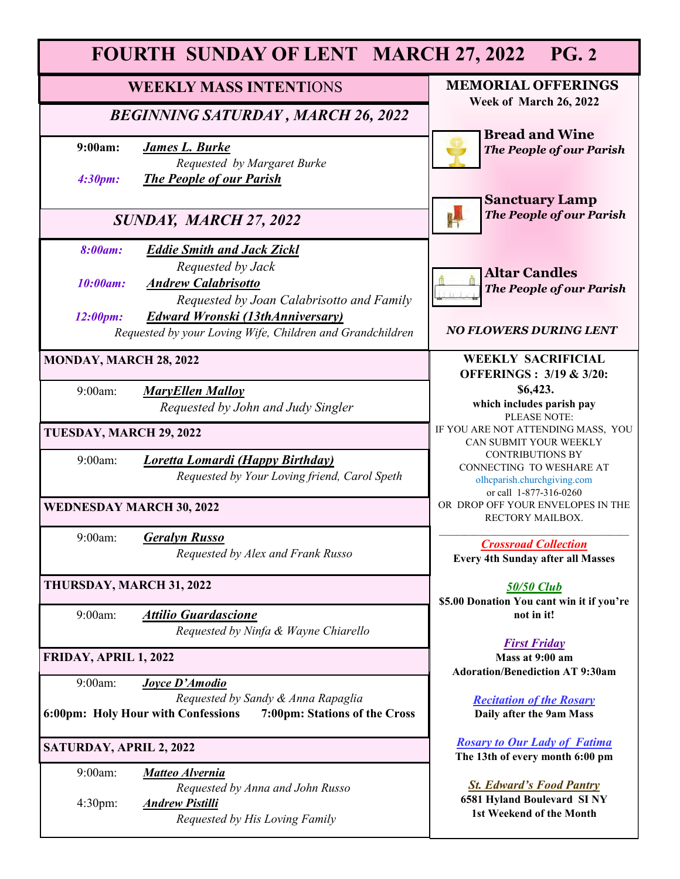| <b>FOURTH SUNDAY OF LENT MARCH 27, 2022</b><br><b>PG. 2</b>         |                                                                                                                                                   |                                                                                                              |
|---------------------------------------------------------------------|---------------------------------------------------------------------------------------------------------------------------------------------------|--------------------------------------------------------------------------------------------------------------|
| <b>WEEKLY MASS INTENTIONS</b>                                       |                                                                                                                                                   | <b>MEMORIAL OFFERINGS</b><br>Week of March 26, 2022                                                          |
| <b>BEGINNING SATURDAY, MARCH 26, 2022</b>                           |                                                                                                                                                   |                                                                                                              |
| 9:00am:<br><b>James L. Burke</b>                                    | Requested by Margaret Burke                                                                                                                       | <b>Bread and Wine</b><br><b>The People of our Parish</b>                                                     |
| 4:30pm:                                                             | <b>The People of our Parish</b>                                                                                                                   | <b>Sanctuary Lamp</b>                                                                                        |
| SUNDAY, MARCH 27, 2022                                              |                                                                                                                                                   | <b>The People of our Parish</b>                                                                              |
| <b>8:00am:</b><br><b>Andrew Calabrisotto</b><br>10:00am:            | <b>Eddie Smith and Jack Zickl</b><br>Requested by Jack                                                                                            | <b>Altar Candles</b>                                                                                         |
| 12:00pm:                                                            | Requested by Joan Calabrisotto and Family<br><b>Edward Wronski (13thAnniversary)</b><br>Requested by your Loving Wife, Children and Grandchildren | The People of our Parish<br><b>NO FLOWERS DURING LENT</b>                                                    |
|                                                                     |                                                                                                                                                   |                                                                                                              |
| MONDAY, MARCH 28, 2022                                              |                                                                                                                                                   | <b>WEEKLY SACRIFICIAL</b><br><b>OFFERINGS: 3/19 &amp; 3/20:</b>                                              |
| 9:00am:<br><b>MaryEllen Malloy</b>                                  | Requested by John and Judy Singler                                                                                                                | \$6,423.<br>which includes parish pay<br>PLEASE NOTE:                                                        |
| TUESDAY, MARCH 29, 2022                                             |                                                                                                                                                   | IF YOU ARE NOT ATTENDING MASS, YOU<br>CAN SUBMIT YOUR WEEKLY                                                 |
| 9:00am:                                                             | <b>Loretta Lomardi (Happy Birthday)</b><br>Requested by Your Loving friend, Carol Speth                                                           | <b>CONTRIBUTIONS BY</b><br>CONNECTING TO WESHARE AT<br>olhcparish.churchgiving.com<br>or call 1-877-316-0260 |
| <b>WEDNESDAY MARCH 30, 2022</b>                                     |                                                                                                                                                   | OR DROP OFF YOUR ENVELOPES IN THE<br>RECTORY MAILBOX.                                                        |
| <b>Geralyn Russo</b><br>9:00am:                                     | Requested by Alex and Frank Russo                                                                                                                 | <b>Crossroad Collection</b><br><b>Every 4th Sunday after all Masses</b>                                      |
| THURSDAY, MARCH 31, 2022                                            |                                                                                                                                                   | <b>50/50 Club</b><br>\$5.00 Donation You cant win it if you're                                               |
| 9:00am:<br><b>Attilio Guardascione</b>                              | Requested by Ninfa & Wayne Chiarello                                                                                                              | not in it!                                                                                                   |
| FRIDAY, APRIL 1, 2022                                               |                                                                                                                                                   | <b>First Friday</b><br>Mass at 9:00 am<br><b>Adoration/Benediction AT 9:30am</b>                             |
| 9:00am:<br>Joyce D'Amodio                                           | Requested by Sandy & Anna Rapaglia                                                                                                                | <b>Recitation of the Rosary</b>                                                                              |
| 6:00pm: Holy Hour with Confessions<br>7:00pm: Stations of the Cross |                                                                                                                                                   | Daily after the 9am Mass                                                                                     |
| <b>SATURDAY, APRIL 2, 2022</b>                                      |                                                                                                                                                   | <b>Rosary to Our Lady of Fatima</b><br>The 13th of every month 6:00 pm                                       |
| 9:00am:<br>Matteo Alvernia<br>4:30pm:<br><b>Andrew Pistilli</b>     | Requested by Anna and John Russo<br>Requested by His Loving Family                                                                                | <b>St. Edward's Food Pantry</b><br>6581 Hyland Boulevard SINY<br>1st Weekend of the Month                    |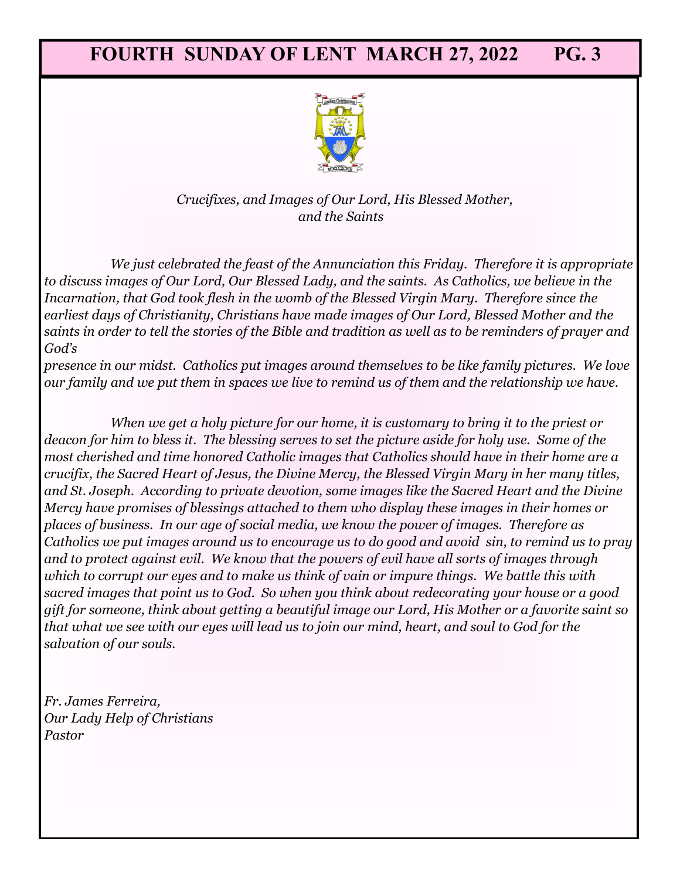

*Crucifixes, and Images of Our Lord, His Blessed Mother, and the Saints*

*We just celebrated the feast of the Annunciation this Friday. Therefore it is appropriate to discuss images of Our Lord, Our Blessed Lady, and the saints. As Catholics, we believe in the Incarnation, that God took flesh in the womb of the Blessed Virgin Mary. Therefore since the earliest days of Christianity, Christians have made images of Our Lord, Blessed Mother and the saints in order to tell the stories of the Bible and tradition as well as to be reminders of prayer and God's* 

*presence in our midst. Catholics put images around themselves to be like family pictures. We love our family and we put them in spaces we live to remind us of them and the relationship we have.* 

*When we get a holy picture for our home, it is customary to bring it to the priest or deacon for him to bless it. The blessing serves to set the picture aside for holy use. Some of the most cherished and time honored Catholic images that Catholics should have in their home are a crucifix, the Sacred Heart of Jesus, the Divine Mercy, the Blessed Virgin Mary in her many titles, and St. Joseph. According to private devotion, some images like the Sacred Heart and the Divine Mercy have promises of blessings attached to them who display these images in their homes or places of business. In our age of social media, we know the power of images. Therefore as Catholics we put images around us to encourage us to do good and avoid sin, to remind us to pray and to protect against evil. We know that the powers of evil have all sorts of images through which to corrupt our eyes and to make us think of vain or impure things. We battle this with sacred images that point us to God. So when you think about redecorating your house or a good gift for someone, think about getting a beautiful image our Lord, His Mother or a favorite saint so that what we see with our eyes will lead us to join our mind, heart, and soul to God for the salvation of our souls.*

*Fr. James Ferreira, Our Lady Help of Christians Pastor*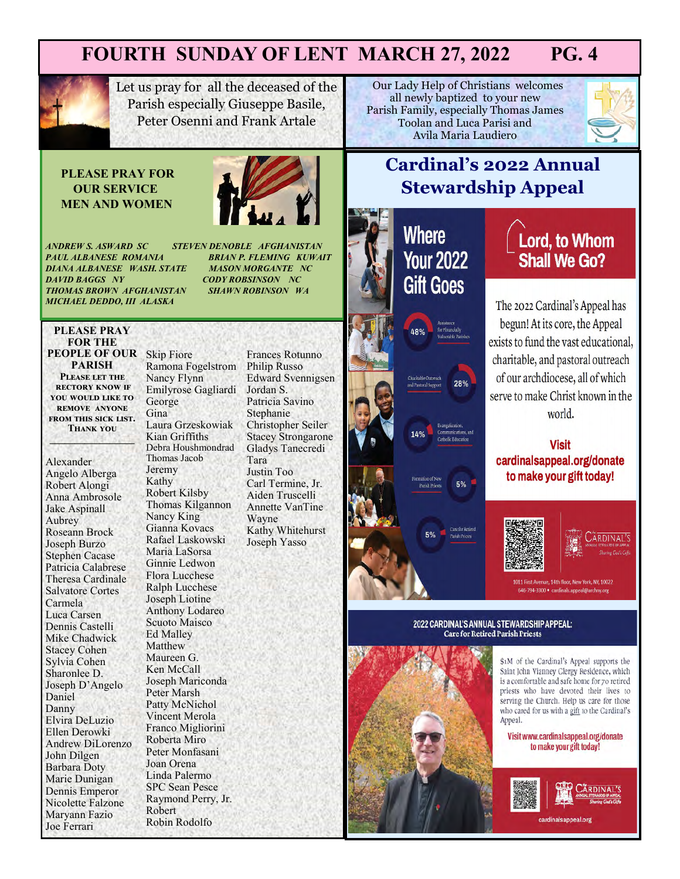

Let us pray for all the deceased of the Parish especially Giuseppe Basile, Peter Osenni and Frank Artale

#### **PLEASE PRAY FOR OUR SERVICE MEN AND WOMEN**



*PAUL ALBANESE ROMANIA BRIAN P. FLEMING KUWAIT*  **DIANA ALBANESE WASH. STATE<br>DAVID BAGGS NY** *THOMAS BROWN AFGHANISTAN SHAWN ROBINSON WA MICHAEL DEDDO, III ALASKA* 

*ANDREW S. ASWARD SC STEVEN DENOBLE AFGHANISTAN DAVID BAGGS NY CODY ROBSINSON NC*

#### **PLEASE PRAY FOR THE PEOPLE OF OUR**  Skip Fiore **PARISH Please let the rectory know if you would like to remove anyone from this sick list.**

**Thank you \_\_\_\_\_\_\_\_\_\_\_\_\_\_\_\_\_**

Alexander Angelo Alberga Robert Alongi Anna Ambrosole Jake Aspinall Aubrey Roseann Brock Joseph Burzo Stephen Cacase Patricia Calabrese Theresa Cardinale Salvatore Cortes Carmela Luca Carsen Dennis Castelli Mike Chadwick Stacey Cohen Sylvia Cohen Sharonlee D. Joseph D'Angelo Daniel Danny Elvira DeLuzio Ellen Derowki Andrew DiLorenzo John Dilgen Barbara Doty Marie Dunigan Dennis Emperor Nicolette Falzone Maryann Fazio Joe Ferrari

Ramona Fogelstrom Nancy Flynn Emilyrose Gagliardi George Gina Laura Grzeskowiak Kian Griffiths Debra Houshmondrad Thomas Jacob Jeremy Kathy Robert Kilsby Thomas Kilgannon Nancy King Gianna Kovacs Rafael Laskowski Maria LaSorsa Ginnie Ledwon Flora Lucchese Ralph Lucchese Joseph Liotine Anthony Lodareo Scuoto Maisco Ed Malley Matthew Maureen G. Ken McCall Joseph Mariconda Peter Marsh Patty McNichol Vincent Merola Franco Migliorini Roberta Miro Peter Monfasani Joan Orena Linda Palermo SPC Sean Pesce Raymond Perry, Jr. Robert Robin Rodolfo

Frances Rotunno Philip Russo Edward Svennigsen Jordan S. Patricia Savino Stephanie Christopher Seiler Stacey Strongarone Gladys Tanecredi Tara Justin Too Carl Termine, Jr. Aiden Truscelli Annette VanTine Wayne Kathy Whitehurst Joseph Yasso

**Our Lady Help of Christians welcomes** all newly baptized to your new Parish Family, especially Thomas James Toolan and Luca Parisi and Avila Maria Laudiero



# **Cardinal's 2022 Annual Stewardship Appeal**

# **Where Your 2022 Gift Goes**

mation of Ne

Parish Pries

28%

5%



The 2022 Cardinal's Appeal has begun! At its core, the Appeal exists to fund the vast educational, charitable, and pastoral outreach of our archdiocese, all of which serve to make Christ known in the world.

**Visit** cardinalsappeal.org/donate to make your gift today!



1011 First Avenue, 14th floor, New York, NY, 10022 646-794-3300 · cardinals.appeal@archnv.org

#### 2022 CARDINAL'S ANNUAL STEWARDSHIP APPEAL: **Care for Retired Parish Priests**



\$1M of the Cardinal's Appeal supports the Saint John Vianney Clergy Residence, which is a comfortable and safe home for 70 retired priests who have devoted their lives to serving the Church. Help us care for those who cared for us with a gift to the Cardinal's Appeal.

Visit www.cardinalsappeal.org/donate to make your gift today!

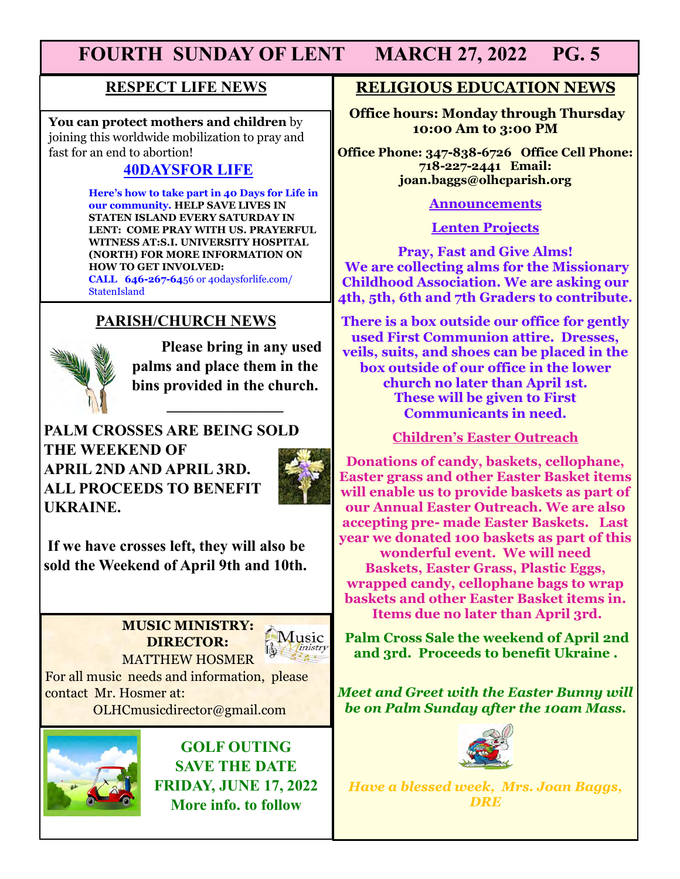### **RESPECT LIFE NEWS**

**You can protect mothers and children** by joining this worldwide mobilization to pray and fast for an end to abortion!

# **40DAYSFOR LIFE**

 **Here's how to take part in 40 Days for Life in our community. HELP SAVE LIVES IN STATEN ISLAND EVERY SATURDAY IN LENT: COME PRAY WITH US. PRAYERFUL WITNESS AT:S.I. UNIVERSITY HOSPITAL (NORTH) FOR MORE INFORMATION ON HOW TO GET INVOLVED: CALL 646-267-64**56 or 40daysforlife.com/ **StatenIsland** 

# **PARISH/CHURCH NEWS**



**Please bring in any used palms and place them in the bins provided in the church.** 

**\_\_\_\_\_\_\_\_\_\_\_\_\_\_\_**

**PALM CROSSES ARE BEING SOLD THE WEEKEND OF APRIL 2ND AND APRIL 3RD. ALL PROCEEDS TO BENEFIT UKRAINE.** 



**If we have crosses left, they will also be sold the Weekend of April 9th and 10th.** 

#### **MUSIC MINISTRY: DIRECTOR:**  MATTHEW HOSMER



For all music needs and information, please contact Mr. Hosmer at:

OLHCmusicdirector@gmail.com



**GOLF OUTING SAVE THE DATE FRIDAY, JUNE 17, 2022 More info. to follow**

### **RELIGIOUS EDUCATION NEWS**

**Office hours: Monday through Thursday 10:00 Am to 3:00 PM**

**Office Phone: 347-838-6726 Office Cell Phone: 718-227-2441 Email: joan.baggs@olhcparish.org**

#### **Announcements**

**Lenten Projects**

**Pray, Fast and Give Alms! We are collecting alms for the Missionary Childhood Association. We are asking our 4th, 5th, 6th and 7th Graders to contribute.** 

**There is a box outside our office for gently used First Communion attire. Dresses, veils, suits, and shoes can be placed in the box outside of our office in the lower church no later than April 1st. These will be given to First Communicants in need.** 

#### **Children's Easter Outreach**

**Donations of candy, baskets, cellophane, Easter grass and other Easter Basket items will enable us to provide baskets as part of our Annual Easter Outreach. We are also accepting pre- made Easter Baskets. Last year we donated 100 baskets as part of this wonderful event. We will need Baskets, Easter Grass, Plastic Eggs, wrapped candy, cellophane bags to wrap baskets and other Easter Basket items in. Items due no later than April 3rd.** 

**Palm Cross Sale the weekend of April 2nd and 3rd. Proceeds to benefit Ukraine .** 

*Meet and Greet with the Easter Bunny will be on Palm Sunday after the 10am Mass.* 



*Have a blessed week, Mrs. Joan Baggs, DRE*